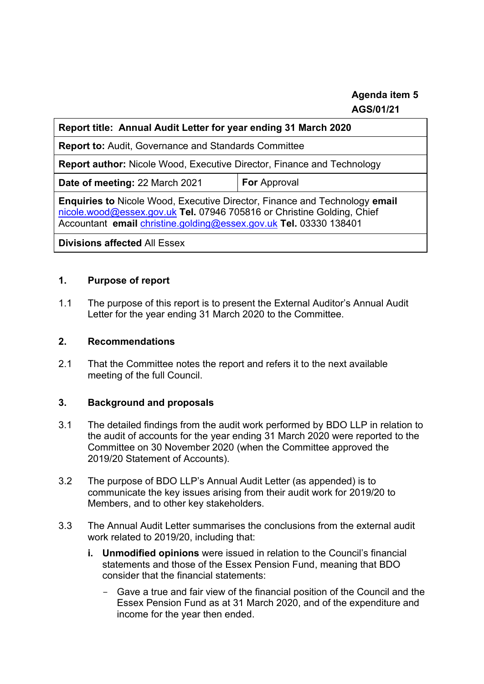## **Agenda item 5 AGS/01/21**

| Report title: Annual Audit Letter for year ending 31 March 2020                                                                                                                                                                         |                     |
|-----------------------------------------------------------------------------------------------------------------------------------------------------------------------------------------------------------------------------------------|---------------------|
| <b>Report to: Audit, Governance and Standards Committee</b>                                                                                                                                                                             |                     |
| <b>Report author:</b> Nicole Wood, Executive Director, Finance and Technology                                                                                                                                                           |                     |
| Date of meeting: 22 March 2021                                                                                                                                                                                                          | <b>For</b> Approval |
| <b>Enquiries to Nicole Wood, Executive Director, Finance and Technology email</b><br>nicole.wood@essex.gov.uk Tel. 07946 705816 or Christine Golding, Chief<br>Accountant email <i>christine.golding@essex.gov.uk</i> Tel. 03330 138401 |                     |
| <b>Divisions affected All Essex</b>                                                                                                                                                                                                     |                     |

#### **1. Purpose of report**

1.1 The purpose of this report is to present the External Auditor's Annual Audit Letter for the year ending 31 March 2020 to the Committee.

#### **2. Recommendations**

2.1 That the Committee notes the report and refers it to the next available meeting of the full Council.

#### **3. Background and proposals**

- 3.1 The detailed findings from the audit work performed by BDO LLP in relation to the audit of accounts for the year ending 31 March 2020 were reported to the Committee on 30 November 2020 (when the Committee approved the 2019/20 Statement of Accounts).
- 3.2 The purpose of BDO LLP's Annual Audit Letter (as appended) is to communicate the key issues arising from their audit work for 2019/20 to Members, and to other key stakeholders.
- 3.3 The Annual Audit Letter summarises the conclusions from the external audit work related to 2019/20, including that:
	- **i. Unmodified opinions** were issued in relation to the Council's financial statements and those of the Essex Pension Fund, meaning that BDO consider that the financial statements:
		- Gave a true and fair view of the financial position of the Council and the Essex Pension Fund as at 31 March 2020, and of the expenditure and income for the year then ended.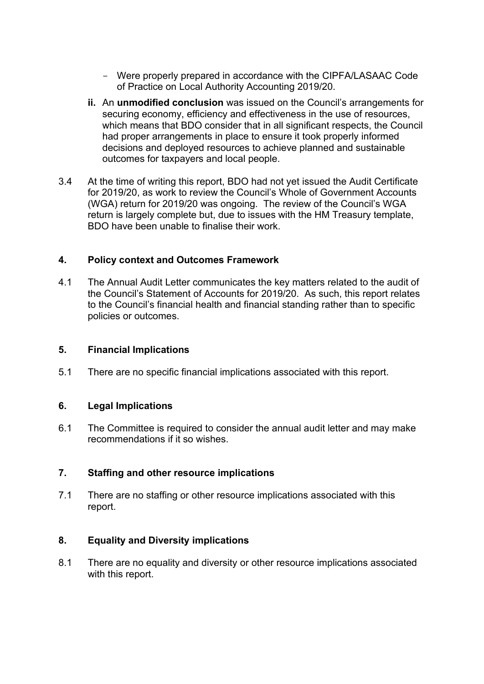- Were properly prepared in accordance with the CIPFA/LASAAC Code of Practice on Local Authority Accounting 2019/20.
- **ii.** An **unmodified conclusion** was issued on the Council's arrangements for securing economy, efficiency and effectiveness in the use of resources, which means that BDO consider that in all significant respects, the Council had proper arrangements in place to ensure it took properly informed decisions and deployed resources to achieve planned and sustainable outcomes for taxpayers and local people.
- 3.4 At the time of writing this report, BDO had not yet issued the Audit Certificate for 2019/20, as work to review the Council's Whole of Government Accounts (WGA) return for 2019/20 was ongoing. The review of the Council's WGA return is largely complete but, due to issues with the HM Treasury template, BDO have been unable to finalise their work.

#### **4. Policy context and Outcomes Framework**

4.1 The Annual Audit Letter communicates the key matters related to the audit of the Council's Statement of Accounts for 2019/20. As such, this report relates to the Council's financial health and financial standing rather than to specific policies or outcomes.

#### **5. Financial Implications**

5.1 There are no specific financial implications associated with this report.

#### **6. Legal Implications**

6.1 The Committee is required to consider the annual audit letter and may make recommendations if it so wishes.

#### **7. Staffing and other resource implications**

7.1 There are no staffing or other resource implications associated with this report.

#### **8. Equality and Diversity implications**

8.1 There are no equality and diversity or other resource implications associated with this report.